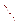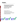

ARCHIVE DOCUMENT

# **Environmental Technology Verification Program** Advanced Monitoring Systems Center

Test/QA Plan for Verification of Ambient Ammonia Monitors at Animal Feeding Operations

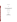## **TEST/QA PLAN**

## **FOR**

## **VERIFICATION OF AMBIENT AMMONIA MONITORS AT ANIMAL FEEDING OPERATIONS**

**September 2, 2003** 

**Prepared by** 

**Battelle 505 King Avenue Columbus, OH 43201-2693**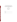## ETV Advanced Monitoring Systems Center

## Test/QA Plan for Verification of Ambient Ammonia Monitors at Animal Feeding Operations

Version: 1.0

September 2, 2003

APPROVAL:

| Name    |  |  |
|---------|--|--|
| Company |  |  |
| Date    |  |  |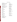#### **DISTRIBUTION LIST**

Mr. Robert Fuerst Vendors: U.S. Environmental Protection Agency HEADS National Exposure Research Joanne Shorter Laboratory Aerodyne Research, Inc. D-205-05 EPA Mailroom 45 Manning Road Research Triangle Park, NC 27711 Billerica, MA 01821-3976

Ms. Elizabeth A. Betz Frank Thibodeau U.S. Environmental Protection Agency Bruker Daltonics, Inc. HEADS National Exposure Research 40 Manning Road Laboratory Billerica, MA 01821 E-205-01 EPA Mailroom Research Triangle Park, NC 27711 Rob Metselaar

Karen Riggs Mechatronics BV Battelle P.O. Box 225 505 King Avenue 1620 AE HOORN

Amy Dindal André Bals, COO Battelle **OMNISENS** SA Columbus, OH 43201 1015 Lausanne

Ken Cowen Battelle Michael E. Webber 505 King Avenue Pranalytica Columbus, OH 43201 1101 Colorado Ave.

Zachary Willenberg Battelle Kurt Webber 505 King Avenue Molecular Analytics

Jerry Hatfield U.S. Department of Agriculture Agricultural Research Service 2150 Pammel Drive Ames, IA 50011-4420

Managing Director Columbus, OH 43201 THE NETHERLANDS

505 King Avenue Parc Scientifique d'Ecublens (Switzerland)

Santa Monica, CA 90401

Columbus, OH 43201 14550 York Rd Ste A Sparks, MD 21152-9307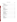## **TABLE OF CONTENTS**

|--|

| 29 |
|----|
|    |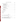## **TABLE OF CONTENTS (Continued)**

## **Tables**

## **Figures**

| Figure 1-1. Organization Chart for the Ammonia Monitor Verification Test 3 |  |
|----------------------------------------------------------------------------|--|
|                                                                            |  |
| Figure 3-2. Illustration of Potential Installation during Testing  15      |  |
| Figure 3-3. Illustration of Reference Method Sampling System  16           |  |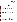#### **1.0 INTRODUCTION**

#### **1.1 Test Description**

This test/quality assurance (QA) plan provides procedures for a verification test of monitors used to measure gaseous ammonia at animal feeding operations (AFO). The verification test will be conducted under the auspices of the U.S. Environmental Protection Agency's (EPA) Environmental Technology Verification (ETV) program. The purpose of ETV is to provide objective and quality assured performance data on environmental technologies, so that users, developers, regulators, and consultants can make informed purchase and application decisions.

The verification test will be performed by Battelle, of Columbus, OH, which is EPA's partner for the ETV Advanced Monitoring Systems (AMS) Center. The scope of the AMS Center covers verification of monitoring methods for contaminants and natural species in air, water, and soil. In performing the verification test, Battelle will follow procedures specified in this test/QA plan, and will comply with quality requirements in the "Quality Management Plan for the ETV Advanced Monitoring Systems Center" (QMP).<sup>(1)</sup>

#### **1.2 Test Objective**

Emissions of atmospheric ammonia have generated considerable interest over the past many years because of the role ammonia plays in nitrogen deposition, atmospheric acid-base chemistry, and aerosol formation. In particular, livestock agriculture is identified as the largest source of atmospheric ammonia in the U.S., and accounts for approximately 70% of emissions in the U.S. $^{(2)}$  As such, there is a need to accurately quantify these emissions. The objective of this verification test is to verify the performance of commercial ammonia monitors under normal operating conditions at two different AFO facilities. The test will also assess various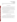performance parameters by supplying the monitors being tested with compressed ammonia gas standards.

#### **1.3 Technology Description**

The monitors to be tested in this verification test include both open-path systems as well as point source monitors. Open-path systems typically have a light source and sensor, or a retro reflector, that are installed at a variable distance from one another (typically 100-200 meters). The light (infrared or ultraviolet) is emitted from the source and passes through the ambient air to the sensor where it is detected (or to the retro reflector where, it is reflected back to a detector positioned with the source). Ammonia that is in the optical path will absorb the light resulting in a decrease in the light intensity that reaches the detector.

Several technologies employ techniques that are classified as point source monitors. These technologies include photoacoustic monitors, ion selective electrodes, tunable diode lasers, chemiluminescent monitors, and others.

In general, each of the monitors to be tested in this verification test are continuous monitors and provide real-time or near real-time measurements of the ammonia concentration.

#### **1.4 Organization and Responsibilities**

The verification test will be performed by Battelle in cooperation with EPA, the vendors who will be having their monitors verified, and the U.S. Department of Agriculture (USDA). The organization chart in Figure 1-1 shows the individuals from Battelle, the vendor companies, EPA, and USDA who will have responsibilities in the verification test. The specific responsibilities of these individuals and organizations are detailed in the following paragraphs.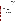*Test/QA Plan for the Verification of Ambient Ammonia Monitors Version: 1.0 Date: September 2, 2003 Page 3 of 50* 



**Figure 1-1. Organizational Chart for the Verification Test of Ambient Ammonia Monitors.**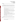#### **1.4.1 Battelle**

Dr. Kenneth Cowen is the AMS Center's Verification Test Coordinator for this test. In this role, Dr. Cowen will have overall responsibility for ensuring that the technical, schedule, and cost goals established for the verification test are met. More specifically, Dr. Cowen will:

- Coordinate Battelle, test site, USDA, and vendor staff to conduct the verification test
- Guide the Battelle/USDA/vendor team in performing the verification test in accordance with this test/QA plan
- Have overall responsibility for ensuring that this test/QA plan is followed
- Prepare the draft test/QA plan, verification reports, and verification statements
- Revise the draft test/QA plan, verification reports, and verification statements in response to reviewers' comments
- Respond to any issues raised in assessment reports and audits, including instituting corrective action as necessary
- Serve as the primary point of contact for vendor representatives
- Coordinate distribution of final test/QA plan, verification reports, and statements
- Establish a budget for the verification test and monitor the effort to ensure that budget is not exceeded
- Ensure that confidentiality of vendor information is maintained.

Ms. Amy Dindal is a Verification Testing Leader for the AMS Center. As such, Ms. Dindal will provide technical guidance and oversee the various stages of verification testing. She will:

- Support Dr. Cowen in preparing the test/QA plan and organizing the testing
- Review the draft test/QA plan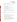• Review the draft verification reports and statements.

Ms. Karen Riggs is Battelle's AMS Center manager. As such, Ms. Riggs will:

- Review the draft test/QA plan
- Review the draft verification reports and statements
- Ensure that necessary Battelle resources, including staff and facilities, are committed to the verification test
- Ensure that vendor confidentiality is maintained
- Support Dr. Cowen in responding to any issues raised in assessment reports and audits
- Maintain communication with EPA's technical and quality managers
- Facilitate a stop work order if Battelle or EPA QA staff discovers adverse findings.

Mr. Zachary Willenberg is Battelle's Quality Manager for the AMS Center. As such, Mr. Willenberg will:

- Review the draft test/QA plan
- Conduct a technical systems audit once during the verification test
- Review results of performance evaluation audit(s) specified in this test/QA plan
- Audit at least 10% of the verification data
- Prepare and distribute an assessment report for each audit
- Verify implementation of any necessary corrective action
- Issue a stop work order if internal audits indicate that data quality is being compromised; notify Battelle's AMS Center Manager if such an order is issued
- Provide a summary of the QA/QC activities and results for the verification reports
- Review the draft verification reports and statements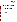Ensure that all quality procedures specified in this test/QA plan and in the  $QMP^{(1)}$ are followed.

Battelle testing staff will support Dr. Cowen in planning and conducting the verification test. These staff will:

- Assist in planning for the test, and making arrangements for the installation of the monitors
- Assist vendors and test site staff as needed during the monitor installation and verification testing
- Assure that test procedures and data acquisition are conducted according to this test/QA plan
- Contribute to the planning of statistical treatment of the ammonia monitor data as needed
- Perform statistical calculations specified in this test/QA plan on the ammonia monitor data as needed
- Provide results of statistical calculations and associated discussion for the verification reports as needed
- Support Dr. Cowen in responding to any issues raised in assessment reports and audits related to statistics and data reduction as needed.

## **1.4.2 Vendors**

Vendor representatives will:

- Review the draft test/QA plan
- Approve the final test/QA plan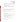- Provide one ammonia monitor and the associated supplies for the duration of the verification test
- Commit or train a technical person to operate, maintain, and repair the ammonia monitor throughout the verification test
- Provide to Battelle staff the data from their monitor as requested by Battelle
- Review their respective draft verification report and verification statement.

## **1.4.3 EPA**

EPA's responsibilities in the AMS Center are based on the requirements stated in the "Environmental Technology Verification Program Quality Management Plan" (ETV QMP).<sup>(3)</sup> The roles of specific EPA staff under the ETV QMP are as follows:

Ms. Elizabeth Betz is EPA's AMS Center Quality Manager. For the verification test, Ms. Betz will:

- Review the draft test/OA plan
- Perform, at her option, one external technical systems audit during the verification test
- Notify the EPA AMS Center Manager to facilitate a stop work order if an external audit indicates that data quality is being compromised
- Prepare and distribute an assessment report summarizing the results of the external audit, if one is performed
- Review the draft verification reports and statements.

Mr. Robert Fuerst is EPA's AMS Center Manager. As such, Mr. Fuerst will:

Review the draft test/QA plan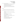- Approve the final test/QA plan
- Notify the Battelle AMS Center Manager to facilitate a stop work order if the external audit indicates that data quality is being compromised
- Review the draft verification reports and statements
- Oversee the EPA review process on the verification reports and statements
- Coordinate the submission of verification reports and statements for final EPA approval.

## **1.4.4 USDA**

This verification test will be conducted in collaboration with the USDA, who will provide co-funding for this test as well as in-kind support. The responsibilities of USDA are:

- Assist Battelle with the coordination of the AFO test sites for the purposes of ETV testing
- Assist Battelle with the coordination of the installation of vendors' equipment at the AFO test sites
- Contribute to the development of the draft test/QA plan
- Review the draft test/QA plan
- Provide on-site and laboratory staff to assist during testing
- Provide laboratory facilities for preparation of sampling media, and analysis of collected samples
- Conduct analysis of reference samples
- Provide all raw and final field and laboratory data to Battelle
- Assist in the operation of the vendor's monitors as needed
- Review draft verification reports and statements.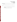#### **1.4.5 AFO Test Sites**

This test will be conducted at two different AFO test sites. The responsibilities of these sites are:

- Provide access to the sites during testing for Battelle, USDA, EPA, and vendor representatives
- Provide adequate space for installation and testing activities.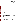#### **2.0 VERIFICATION APPROACH**

The overall objective of the verification test described in this plan is to provide quantitative verification of the performance of ambient ammonia monitors in realistic test conditions under continuous operation at two animal feeding operation facilities. The performance parameters that are addressed by this test/QA plan include:

- **Accuracy**
- **Linearity**
- **Precision**
- Comparability
- Interference effects
- Calibration drift
- Zero drift
- Response time
- Ease of use
- Data completeness.

Accuracy and linearity will be assessed for the monitors being verified by determining the degree of agreement with compressed gas standards. Precision will be assessed in terms of the repeatability of the ammonia measurements when supplied with ammonia gas standards. Comparability will be assessed by comparisons with a ammonia measurements using a reference method. Interference effects will be assessed by challenging the monitors being tested with compressed gas standards of various chemical species commonly emitted at AFOs. Calibration drift, and zero drift will be assessed by supplying the monitors being tested with commercial compressed gas standards of ammonia and zero gas, respectively. Response time will be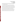assessed by monitoring the time required to reach a stable reading when the monitors are supplied with compressed gas standards.

This verification test will be conducted concurrently for all of the monitors being verified, and will occur in two phases. The two phases will be conducted at separate animal feeding operations and will last approximately four weeks each. It is expected that the ammonia concentration will show considerable temporal variations during each phase of testing and that the average concentrations measured during the two phases will be substantially different. The performance of the monitors over those two periods will be assessed and reported. The amount of time each monitor is operational and any maintenance activities performed over the verification test periods will be recorded and reported, to help assess data completeness. Observations about the operation of the monitors will be made by the USDA and Battelle staff conducting the test, and will be used to assess the ease of use of each monitor being tested. Additionally, siting and installation requirements will be reported for each of the monitors.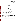#### **3.0 TEST DESIGN**

**3.1 Site Description**

#### **[to be provided by USDA after clearance from AFOs]**

#### **3.2 Schedule**

The verification test will be conducted in two phases. The first phase of testing will be conducted at a hog farm in Ames, Iowa, from approximately September 8 to October 3, 2003. The second phase of testing will be at a cattle farm in Bushland, Texas, from approximately October 13 to November 7, 2003. Prior to the beginning of each phase, there will be a shakedown period during which the vendors will install their monitors, ensure proper operation, and train Battelle/USDA staff on the routine operation of their monitors.

During each phase, two periods of intensive sampling will be conducted to collect reference samples using annular denuder technology as described in Section 3.4. The two intensive periods will be during the first and last weeks of each phase. The reference sampling will be conducted on a five sample per day schedule on each week day (i.e., Monday - Friday) during those weeks. Also during the first week of each phase, the monitors will be supplied with compressed gases to assess accuracy and linearity. The compressed gases will used to assess calibration drift and zero drift of the monitors. The calibration checks will be done on Monday, Wednesday, and Friday of the first and last weeks during the two test phases. During week two of the second phase of testing, the monitors will be supplied with compressed gas standards containing different interferent species. Figure 3-1 shows the proposed schedule for the testing activities for this verification test.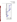US EPA ARCHIVE DOCUMENT



*Test/QA Plan for the Verification of Ambient Ammonia Monitors Version: 1.0 Date: September 2, 2003 Page 13 of 50*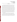*Test/QA Plan for the Verification of Ambient Ammonia Monitors Version: 1.0 Date: September 2, 2003 Page 14 of 50* 

#### **3.3 Installation**

Each of the monitors being tested should be installed by the vendor with some means of supplying or sampling compressed gas standards (i.e., ammonia, zero gas) for the accuracy, linearity, and interference tests as well as the calibration and zero drift checks. During each phase the monitors being verified will be located within the fenceline of the AFO, and in the predominantly downwind direction from the primary ammonia source. Monitors employing open path techniques will be situated such that the optical path is perpendicular to the prevailing wind direction. These monitors will be installed such that all the optical paths are parallel to one another, and to the extent possible, with the same pathlength (or multiple thereof). Monitors employing point source measurements will be collocated with one another to the extent possible. These point source monitors will also be positioned such that they are along the pathlength of any open-path monitors being verified but offset from the optical path such that they do not interfere with the transmittance of reflectance of the light from the open-path monitors. Figure 3-2 illustrates an example of the potential arrangement of the monitors being tested and the reference method samplers.

In this figure, the x's represent potential locations where ammonia samples will be collected according to a reference method. As described below, simultaneous collection of several reference samples will be made at several points along the pathlength of the open-path technologies, with at least one sample collected at the location of the point source measurements. These reference samples will be used for establishing the accuracy of the ammonia monitors.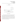*Test/QA Plan for the Verification of Ambient Ammonia Monitors Version: 1.0 Date: September 2, 2003 Page 15 of 50* 



**Figure 3-2. Illustration of potential installation during testing.** 

#### **3.4 Reference Method**

Reference samples will be collected using citric acid coated denuder sampling trains (see Figure 3-3). The method that will be used is based on the EPA Compendium Method IO-4.2 Determination of Reactive Acidic and Basic Gases and Acidity of Fine Particles ( $\leq 2.5 \text{ }\mu\text{m}$ )<sup>(4)</sup>, with some modifications to the method as described below. For this test, ambient air will first be drawn through an impactor at a nominal rate of 10 liters per minute (lpm) to remove particulate matter with aerodynamic diameters greater than 2.5  $\mu$ m. The air will then pass through the citric acid coated denuder to remove gaseous ammonia. A single Teflon filter will be used to collect the particulate matter that passes through the denuder.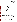*Test/QA Plan for the Verification of Ambient Ammonia Monitors Version: 1.0 Date: September 2, 2003 Page 16 of 50* 



**Figure 3-3. Illustration of Reference Method Sampling cartridge.** 

For this verification test, reference samples will be collected during the first and last week of testing during each phase. In order to capture diurnal variations in ammonia concentrations sampling is expected to be conducted on approximately the following schedule: 8:00 a.m. to 12:00 p.m., 12:00 p.m. to 2:00 p.m., 2:00 p.m. to 4:00 p.m., 4:00 p.m. to 8:00 p.m., and 8:00 p.m. to 8:00 a.m., such that 5 sets of samples are collected in each 24-hour period. The short term (2-hour and 4-hour) sampling is expected to capture the peaks in ammonia concentrations, whereas the 12-hour sampling will capture overnight concentrations. After each sampling period, the sampling media will be retrieved, sealed, and stored until being transported to the laboratory for analysis, and new sampling media will be installed.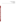*Test/QA Plan for the Verification of Ambient Ammonia Monitors Version: 1.0 Date: September 2, 2003 Page 17 of 50*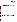#### **3.5 Accuracy and Linearity Tests**

On one day during the first week of testing during each phase, the monitors being tested will be supplied with a series of ammonia gas standards to assess accuracy and linearity. Prior to being supplied to the monitors, these standards will be diluted with zero air to achieve concenctrations between approximately 200 - 2000 ppb. Measurements will be recorded at each of five concentration levels. The accuracy and linearity tests will be performed independently for each monitor and need not be performed on the same day for all monitors.

#### **3.6 Calibration/Zero Drift Checks**

On Monday, Wednesday, and Friday, of the first and last weeks of testing during each phase, the monitors being tested will be supplied with an ammonia gas standard and zero air to check the calibration and zero drift of the monitors, respectively. It is expected that the order in which the monitors are to be checked will be randomly varied, as will the time of day.

#### **3.7 Interference Testing**

During the second phase of testing, the monitors being tested will each be supplied with several compressed gas standards containing different interferent compounds. The interference testing will be conducted performed independently for each of the monitors being tested and need not be performed on the same day for all monitors. Table 3-1 shows the interferent compounds to be supplied to the monitors and the approximate concentrations of these species.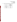*Test/QA Plan for the Verification of Ambient Ammonia Monitors Version: 1.0 Date: September 2, 2003 Page 19 of 50* 

| <b>Interferent Gas</b> | Approximate<br><b>Concentration</b><br>to be Supplied (ppb) |
|------------------------|-------------------------------------------------------------|
| Nitrogen dioxide       | $100$ ppb                                                   |
| Hydrogen sulfide       | $100$ ppb                                                   |
| Diethylamine           | $100$ ppb                                                   |
| 1,3-butadiene          | $100$ ppb                                                   |

#### **Table 3-1. Interferent Gases and Approximate Concentrations**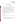#### **4.0 TEST PROCEDURES**

#### **4.1 Preparation of Sampling Media**

The procedures to be used for the preparation of the sampling media are described below and are based on the procedures given in the EPA Compendium Method IO-4.2 Determination of Reactive Acidic and Basic Gases and Acidity of Fine Particles ( $\leq 2.5 \text{ }\mu\text{m}$ )<sup>(4)</sup>.

During each phase, preparation of the sampling media will be performed at a USDA National Soil Tilth Laboratory (NSTL) facility nearby to the respective test sites. To the extent possible the preparation of the denuders will be performed in an ammonia free glove box to prevent contamination. However, the NSTL has a semi-automated system for denuder preparation and extraction that will be used in the first phase of this test. This system in not located in an ammonia free environment but minimizes the exposure of the denuder channels to the atmosphere, thereby limiting potential contamination.

After the sampling media are prepared, they will be stored in the glove box until they are transported to the test site for installation in the sampling trains.

#### **4.1.1 Denuder Cleaning**

The procedure for cleaning the denuders is given below. This procedure will be used for all new and used denuders.

- 1. Wash the denuders thoroughly with distilled water for at least 2 minutes ensuring that all the channels in the denuder have been flushed.
- 2. After flushing, rinse the denuder with Milli-Q water at least three times, ensuring that each channel has been rinsed.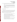- 3. After rinsing, gently tap the denuder on a clean Kimwipe to shake out excess water.
- 4. Place all cleaned denuders on a clean Kimwipes on a clean surface and allow the denuders to air dry. **Note: if it is necessary to rapidly dry the denuders, they may be rinsed in methanol and allowed to air dry, or clean air may be blown through them.**
- 5. Once dry, cap both ends of the denuder with clean end caps and store them in an ammonia-free glove box until use.

#### **4.1.2 Denuder Preparation**

The procedure used to coat the denuders is given below. There are two types of caps that are needed for this process. One type of cap should have a solid face and the other should have a small hole in the center of the face to prevent pressure buildup during the preparation process. The cap with the hole in the face should not be used to store the denuder after preparation. Ensure that there are two solid caps available for the denuder storage.

- 1. Using clean gloves (disposable polyurethane, or comparable), cap one end of the denuder with a solid face cap and set upright on the capped end. Pour approximately 10 mL of 1% citric acid solution into the denuder.
- 2. Cap the open end of denuder using the cap with a hole. Cover the hole in the face of the cap and gently turn and rotate the denuder to ensure that the solution is distributed into all channels of the denuder.
- 3. Remove one cap and pour out excess coating solution. Remove the other cap and gently shake excess solution from denuder.
- 4. Attach denuder to drying assembly and flow clean, dry air through the denuder for approximately 10 minutes at approximately 10 liters per minute (lpm).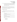5. Remove denuder from drying assembly, and cap both ends with solid face caps. Store the capped denuder in the glove box until packed for transport to the site. Using the unique identification number inscribed on the denuder, record the date and time that the denuder was coated.

The denuders should be carefully packed to prevent breakage during transport to the test sites. The denuders should be used within 72 hours of being coated, and should be used within 24 hours of being transported to the field. A completed chain-of-custody form (Appendix B) must accompany the denuders during transport to and from the field.

#### **4.1.3 Sampling Cartridge Assembly**

The following is the procedure for assembling the sampling cartridges. Cartridge assembly should be performed in the laboratory on a clean bench-top, or in an ammonia-free glove box if available.

- 1. With clean (disposable polyethylene, or comparable) gloves, place a glass spacer on a clean Kimwipe.
- 2. Place the filter pact outlet port inside the spacer.
- 3. Place a Teflon™ filter inside the filter pack outlet port followed by three clean plastic filter screens.
- 4. Place the cartridge assembly housing inside the filter pack outlet port and fasten the housing to the top rim of the cartridge.
- 5. Hold the cartridge housing at a slight angle and insert the following components in order.

one metal spring one HDPE ring spacer one glass spacer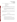*Test/QA Plan for the Verification of Ambient Ammonia Monitors Version: 1.0 Date: September 2, 2003 Page 23 of 50* 

one HDPE ring spacer one citric acid coated denuder one HDPE ring spacer one glass spacer a greased inlet impactor plate

**(Note: For breakthrough checks substitute a second citric acid denuder for the first glass spacer.)** 

- 6. Slide the sample inlet into the cartridge housing and secure it with the side clips.
- 7. Place plastic caps on both ends of the cartridge to prevent contamination.
- 8. Attach label to cartridge indicating date packed,the denuder identification, and the filter identification.

Cartridges should be assembled in the laboratory at room temperature and transported to the test sites when possible. A completed chain-of-custody form must accompany the cartridges during transport to and from the field.

#### **4.2 Sample Collection**

Sampling should be performed as closely to the scheduled times as possible, with the start and stop times ideally within 15 minutes of the scheduled times. The procedure for sample collection is given below.

- 1. Allow the pump to warm up for approximately 5 minutes.
- 2. Assemble the sampling train as shown in Figure 3-2. Seal the open end of the inlet using a cap or stopper. Run the leak check for 5-10 seconds. The flow meter should indicate no flow if there are no leaks in the system. If there are no leaks indicated, turn off the pump and remove the cap or stopper from the inlet. If a leak is indicated, check the assembly for proper connections. Replace any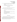suspect gaskets or defective components. Record activities on field data sheet (Appendix A).

- 3. Turn the pump on and set the sample flow rate to 10 lpm.
- 4. Complete appropriate sections on field data sheet. Begin sampling.

#### **4.3 Sample Retrieval**

Sample retrieval should be performed as soon after the end of each sampling period as possible. Care must be taken to avoid sample contamination during retrieval.

- 1. After sampling period is over, complete the appropriate sections on the field data sheet.
- 2. Turn off pump.
- 3. With clean gloves (disposable polyethylene, or comparable), remove sampling cartridge and cap both ends with clean caps.
- 4. Install new sampling cartridge as needed.
- 5. Pack the capped sampling cartridge for transport to the laboratory. Complete the chain of custody form.

#### **4.4 Sample Extraction**

Sample extraction should be done as soon after sample collection as feasible (within 24 hours of sample collection) and should be done on the same day as the analysis. Extraction of the samples should be performed in an ammonia free glove box to prevent sample contamination. (Note: for this verification test, only the denuders will be extracted and analyzed. The filter may be archived for analysis at a later date as needed.)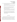- 1. Remove both caps from the denuder. Wipe the outer surface of the denuder with a Kimwipe moistened with Milli-Q water.
- 2. Place a clean solid faced cap on one end of the denuder, and pipet 10 mL of DDW into the denuder. Cap the open end of the denuder using a cap with a hole in the face.
- 3. Cover the hole in the face of the cap and gently turn and rotate the denuder to ensure that the solution is distributed into all channels of the denuder.
- 4. Holding the denuder so that the red cap with the hole in its is on top, shake the denuder to force the liquid to the bottom.
- 5. Remove the red cap from the top of the denuder. Hold the bottom red cap firmly and carefully remove the denuder from the cap. Most of the solution should remain in the cap. Gently shake the denuder again to get the remaining solution out.
- 6. Pour the extraction solution into a labelled sample vial and cap the vial tightly.
- 7. Store the vial in the glove box until analysis. (**Note: if analysis can not be performed within 24 hours of extraction, the samples should be frozen until analysis can be performed**).

#### **4.5 Sample Analysis**

Sample analysis will be performed by Flow injection analysis (FIA). FIA is a continuous flow method for rapidly processing samples. In this method a peristaltic pump draws sample from the sampler into the injection valve. Simultaneously, reagents are continuously pumped through the system. The sample is loaded into the sample loop of one or more injection valves. The injection valve is then switched to connect the sample loop in line with the carrier stream. This sweeps the sample out of the sample loop and onto the manifold. The sample and reagents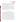then merge in the manifold (reaction module) where the sample can be diluted, dialyzed, extracted, incubated and derivatized. Mixing occurs in the narrow bore tubing under laminar flow conditions. For each method, the operating parameters are optimized to address high sample throughput, high precision and high accuracy.

FIA of the collected samples will be conducted by USDA staff on the same day as the samples are extracted. The analysis will be done according to the QuikChem Method No. 10- 107-06-2-A (Lachat Company, Loveland, CO). In this method, ammonia is heated with salicylate and hypochlorite in an alkaline phosphate buffer forming an emerald green color which is proportional to the ammonia concentration. The color is intensified by the addition of sodium nitroprusside and monitored photometrically. The FIA instrument will be calibrated on each day prior to analysis of the samples.

#### **4.6 Accuracy/Linearity Checks**

During the first week of each phase of testing the monitors being tested will independently be supplied with compressed ammonia gas standards to achieve measurements over a range of concentrations from approximately 0 - 2000 ppb (or the upper range of measurement of the monitor being tested, whichever is lower). The gases delivered to the monitors will be prepared by dilution of higher concentration ammonia standard gases (i.e., 100 500 ppm) in zero air using a calibrated dilution system, and the degree of dilution will be dependent on the nature of the technology being tested (i.e., point source or open path).

Accuracy and linearity will be assessed by establishing a multipoint calibration curve. To establish this curve, three non-consecutive measurements will be recorded at each of five different nominal concentration levels. The gas will be supplied to the monitor for at least two minutes or until a stable reading is achieved, (i.e., no apparent increase in signal is observed), whichever is later. Once a stable reading is achieved, the gas will be delivered for two more minutes, the concentration will be recorded, and the monitor will be supplied the next standard gas. Table 4-1 shows the nominal concentration values to be supplied to the monitors being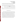tested and the order in which the concentrations will be supplied. After the last measurement has been recorded, the monitor will be flushed with zero air for approximately 5 minutes.

|                                     | Concentration |           |           |            |            |
|-------------------------------------|---------------|-----------|-----------|------------|------------|
|                                     | $0$ ppb       | $200$ ppb | $600$ ppb | $1200$ ppb | $2000$ ppb |
|                                     |               |           |           |            |            |
| <i><b>Aeasurement</b></i><br>Number |               | 10        |           |            | O          |
|                                     |               |           | 13        | 14         |            |

**Table 4-1. Nominal Ammonia Concentrations and Order for Accuracy/Linearity Checks** 

#### **4.7 Calibration/Zero Checks**

On Monday, Wednesday, and Friday of the first and last weeks during the two phases of the verification test, a compressed ammonia gas standard will be supplied to each of the monitors being tested. The gas should be supplied to the monitor for at least two minutes or until a stable reading is achieved, (i.e., no apparent increase in signal is observed), whichever is later. Once a stable reading is achieved, the concentration should be recorded, and the monitor will be supplied with zero gas. Zero gas will be supplied to the monitor for at least two minutes or until a stable reading is achieved (i.e., no apparent decrease in signal is observed), whichever is later. Once a stable reading has been achieved, the concentration should be recorded and the monitor can resume sampling the ambient air. At least once during each phase, the time required to reach a stable reading for both the calibration check and the zero checks will be recorded for each monitor being tested. This time will be used to assess the response time of the monitors.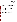*Test/QA Plan for the Verification of Ambient Ammonia Monitors Version: 1.0 Date: September 2, 2003 Page 28 of 50* 

#### **4.8 Interference Checks**

During week two of testing in the second phase, the monitors being tested will independently be supplied with a series of interference gases (see Table 3-1). Prior to supplying the interferent gas, zero air will be supplied to the monitors being tested for at least two minutes or until a stable reading is achived (i.e., no apparent increase in signal is observed), whichever is later. Once a stable reading has been achieved the monitor response will be recorded and the interferent gas will be diluted with zero air and delivered to the monitors seperately for at least two minutes each or until a stable reading is achieved, (i.e., no apparent increase in signal is observed), whichever is later. Once a stable reading has been achieved, the concentration should be recorded, monitor will be flushed for at least two minutes with zero air and approximately 500 ppb of ammonia will be supplied to the monitor gas. The gases will be supplied for at least two minutes each or until a stable reading is achieved, (i.e., no apparent increase in signal is observed), whichever is later. Once a stable reading has been achieved, the interferent gas will be supplied to the monitor for at least two minutes, or until a stable reading is achieved, (i.e., no apparent increase in signal is observed), whichever is later. Once a stable reading has been achieved, the concentration should be recorded and zero air will be supplied to the monitor for approximately five minutes. This process should be repeated for each of the interferent gases.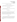#### **5.0 STATISTICAL CALCULATIONS**

The statistical calculations to be used to verify the ammonia monitor performance are described below. All calculations will be performed using Microsoft Excel™.

#### **5.1 Relative Accuracy**

The relative accuracy (RA) of the ammonia monitor with respect to the compressed gas standards will be assessed using Equation 1:

$$
RA = \frac{1}{n} \left( \sum_{i=1}^{n} \frac{|d_i|}{x_{i\Box}} \right) \times 100 \tag{1}
$$

where *d* refers to the difference between the standard gas concentration and the average of the ammonia monitor measurements recorded during sampling period, and *x* corresponds to the standard gas concentration. For open path monitors, relative accuracy will be based on the observed increase in signal over the background concentration measured. Relative accuracy will be calculated and reported independently for each of the two phases.

#### **5.2 Linearity**

Linearity will be assessed by a linear regression analysis using the compressed standard gas concentrations as the independent variable and results from the ammonia monitors being tested as the dependent variable. Linearity will be expressed in terms of slope, intercept, and coefficient of determination  $(r^2)$ , and will be calculated independently for each phase of the verification test.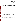#### **5.3 Precision**

Precision will be calculated in terms of the percent relative standard deviation (RSD) of a series of ammonia monitor measurements made over the duration of each of the calibration and zero drift check periods. During each calibration and zero check all readings from monitors testing will be recorded, and the mean and standard deviation of those readings will be calculated. Precision (*P*) will then be determined as:

$$
P \equiv \frac{SD}{\overline{X}} \times 100 \tag{2}
$$

where *SD* is the standard deviation of the monitor readings and  $\overline{X}$  is the mean of the monitor readings. Precision will be calculated independently for each phase of testing.

#### **5.4 Comparability**

Comparability between the ammonia monitor results and the reference method results will be assessed by linear regression using the reference method ammonia concentrations as the independent variable and results from the ammonia monitors being tested as the dependent variable. For the open path monitors, the average of the reference method results along the optical path will be used as the independent variable. Linearity will be expressed in terms of slope, intercept, and coefficient of determination  $(r^2)$ , and will be calculated independently for each phase of the verification test. It is expected that the measured concentration of ammonia will vary by at least a factor of five during each phase of testing. If this magnitude of variation is not achieved during either of the phases then comparability for that phase will be calculated using Equation 1 and reported as a percent difference rather than in terms of the linear regression results.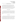#### **5.5 Calibration and Zero Drift**

Calibration and zero drift will be reported in terms of the mean, relative standard deviation, and range (maximum and minimum) of the readings obtained from the ammonia monitor in the daily sampling of the same ammonia standard gas, and of zero gas. The calibration and zero drift will be calculated independently during each phase of testing such that up to 6 ammonia standard readings (Monday, Wednesday, and Friday for two weeks), and up to 6 zero readings, will be used for this calculation in each phase. This calculation, along with the range of the data, will indicate the day-to-day variation in zero and standard readings.

#### **5.6 Interference Effects**

The extent of interference will be calculated in terms of the ratio of the response of the monitor to the interfering species, relative to the actual concentration of the interfering species. For example, if 100 ppb of an interfering species results in a 1 ppb change in the response of the monitor, the interference effect will be reported as 1% (i.e., 1 ppb/100 ppb). The interference effects will be reported seperately for each interferent both in the absence and in the presence of ammonia.

#### **5.7 Response Time**

Response time will be assessed in terms of both the rise and fall times of each ammonia monitor when sampling the ammonia gas standard. Rise time (i.e., 0% - 95% response time) will be determined by recording all the monitor readings when the gas is supplied to the monitor. Once a stable response has been achieved with the gas standard, the fall time (i.e., the 100% to 5% response time) will be determined in a similar way, by recording all monitor readings as the gas supplied is switched from the ammonia standard back to zero gas. For monitors which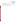provide periodic rather than continuous readings, determination of rise and fall times may involve interpolation between readings.

Rise and fall times will each be determined once for each monitor during each phase of testing. Rise and fall times will be reported in units of seconds.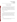#### **6.0 MATERIALS AND EQUIPMENT**

#### **6.1 Sampling Media and Equipment**

The denuders, filters, and associated sampling equipment for collection of the reference method<sup>(4)</sup> sampling will be supplied by Battelle and/or USDA. The sampling cartridges used for this test will be ChemComb Model 3500 speciation sampling cartridges<sup>(5)</sup> (Rupprecht  $\&$ Patashnick, Co., Inc., Albany, NY). Multiple sampling trains will be available such that five sets of four trains (i.e., five sampling runs with four trains each) may be sampled in a single day, in addition to at least two blank samples, two breakthrough checks, and two duplicate samples per day during the intensive sampling periods.

#### **6.1.1. Denuders**

The denuders used for the reference sample collection will be honeycomb type denuders used in the ChemComb sampling cartridges. The denuders will be coated with a 1% citric acid solution, analogous to the  $1\%$  citric acid solution used in the EPA standard method<sup>(3)</sup>. The solvents and chemicals used to prepare the denuders for sampling and to extract the denuders after sampling will be ACS reagent grade, and will be purchased from a reliable supplier. Reagents and solvents will be analyzed for ammonia prior to use to ensure no contamination is present.

#### **6.1.2 Filters**

The filters to be used for the reference sample collection will be 47 mm diameter Teflo™ filters (e.g., Gelmen Sciences, part number R2PJO47, or comparable).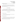#### **6.1.3 Sampling Train Components**

Each of the sampling trains will include a pump to draw the air through the sampling media, and a flow meter, or flow controller to maintain a nominally constant flow rate. The ChemComb sampling cartridges have an internal impactor to remove particulate matter with an aerodynamic diameter greater than 2.5 µm.

#### **6.2 Analytical Equipment**

Analysis of the collected samples will be conducted by flow injection analysis (FIA) using a Lachat QuikChem Model 8000 FIA+. The equipment and chemicals to be used for sample analysis will be provided by USDA and will be at the USDA facilities used during each phase of testing. All chemicals used for the sample extraction and analysis will be reagent grade.

#### **6.3 Compressed Gases**

#### **6.3.1 High Purity Nitrogen/Air**

The high purity gases used for zeroing of the monitors will be commercial ultra-high purity (UHP, i.e., minimum 99.999% purity) air or nitrogen.

#### **6.3.2 Ammonia Standard Gases**

Compressed gas standards containing ammonia will be obtained for use in the calibration drift checks of the monitors. These will consist of ammonia in a nitrogen matrix, at levels of approximately 100-500 ppm. These gases will be diluted as necessary to achieve ammonia concentrations in the range of approximately 200-2000 ppb.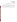#### **6.4 Meteorological Equipment**

Meteorological conditions during each phase of testing will be monitored continuously using a portable meteorological station (i.e., MetOne Instruments, or comparable). The station will include sensors for ambient temperature, relative humidity, barometric pressure, wind speed, and wind direction. Data from the station will be recorded continuously using a datalogger, and will be analyzed by the datalogger to provide hourly averages for the measured parameters.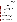#### **7.0 QUALITY ASSURANCE/QUALITY CONTROL**

#### **7.1 Equipment Calibrations**

#### **7.1.1 Reference Method Sampling Equipment**

Reference method sampling will be conducted according to the procedures described in the EPA standard method<sup> $(4)$ </sup>. A single point calibration of the flow rate through each of the sampling systems (i.e., pump, flow controller, filter pack, denuder, cyclone) will be performed prior to the start of each phase using a dry gas meter with NIST-traceable calibration. The flow rate of each sampler will be checked at least once per day at the beginning and end of one sampling period using a dry gas meter or other flow meter. The flow rate will be recalibrated if the calibration check is not within  $\pm 5\%$  of the nominal flow rate of 10 lpm (i.e., 9.5 lpm - 10.5 lpm). All calibration results must be documented for inclusion in the verification test data files and verification report.

#### **7.1.2 Analytical Equipment**

Analysis of the reference samples will be conducted in a laboratory using FIA. The FIA system for the reference sample analysis will be calibrated by USDA staff performing the analysis. The calibration will be conducted according to the manufacturer recommendations and will include concentrations of ammonia standard solutions that bracket the expected concentration of the sample solutions. Calibration standards will be run at the beginning and end of each analytical session, with one calibration solution run after each tenth reference sample. The calibration will be acceptable if the  $r^2$  of the calibration curve is  $>0.98$ , and if the calibration checks agree within 10% of the standard solution concentration. All calibration results must be documented for inclusion in the verification test data files and verification report.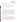#### **7.1.3. Meteorological Equipment**

The sensors used for the meteorological monitoring will be calibrated by the manufacturer within one year of use in this verification test. All calibration results must be documented for inclusion in the verification test data files and verification report.

#### **7.2 QA/QC Samples**

#### **7.2.1 Field Blanks**

At least 10% of all samples collected will be field blanks. The field blanks will be collected by installing the sampling media (i.e., denuder and filters) in the sampling train but without drawing any air through the train. The media will then be recovered and handled like normal samples. If contamination levels are detectable and are greater than 5% of any of the measured sample concentrations for that day, no additional reference sampling will be conducted until the cause of the contamination is identified and rectified. Care will be taken to ensure that field blanks will be collected at each of the different sampling locations and during each of the different sampling periods (e.g., 8:00 a.m. to 12:00 p.m., etc.). Field blanks should be analyzed within 24 hours of collection to allow for prompt corrective action if needed.

#### **7.2.2 Denuder Breakthrough Checks**

Back-up denuders will be used with at least 10% of the samples collected to assess the degree of ammonia breakthrough. These breakthrough checks will be conducted at each of the four sampling locations and will include checks during each of the five sampling periods. At least one breakthrough check will be performed during each of the sampling periods during the first two days of sampling during each phase to allow for prompt corrective action if needed. If the measured ammonia concentration on the back-up denuders is greater than 10% of the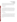concentration on the front denuder, then back-up denuders will be used for all sample collection during those periods during which breakthrough might be anticipated to occur. Denuder breakthrough checks should be analyzed within 24 hours of collection to allow for prompt corrective action if needed.

#### **7.2.3 Duplicate Samples**

For at least 10% of samples, duplicate samples will be collected using a co-located sampling train. These duplicate samples will be collected at each of the sampling locations and during each of the sampling periods. It is expected that the difference in the measured ammonia concentrations between duplicate samples will be within 10% of the average concentration (i.e., difference divided by average < 10%). If relative differences greater than 10% are observed, reference sampling will continue and the cause of these differences will be investigated and rectified if possible.

#### **7.2.2 Laboratory Blanks**

Laboratory blank solutions will be prepared for the FIA analysis. These solutions will be analyzed prior to analysis of the reference samples. A laboratory blank solution will be analyzed after every  $10<sup>th</sup>$  reference sample to ensure no drift in the FIA instrumentation. If the blank levels are greater than 5% of any of the measured concentrations for that day, the cause of the contamination will be investigated and rectified (if possible). All analyses performed after the most recent acceptable blank will be invalidated and analysis of those samples will be repeated (if possible).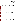#### **7.2.3 Calibration Checks**

Calibration check solutions will be prepared using NIST-traceable ammonia solutions. The calibration check solutions will be analyzed after every  $10<sup>th</sup>$  reference sample to ensure no drift in the FIA instrumentation. If the measured concentrations are not within  $\pm 10\%$  of the standard solution concentration, the cause of the discrepancy will be investigated and rectified if possible. If such a discrepancy is observed, all analyses performed after the most recent acceptable spike will be invalidated and analysis of those samples will be repeated (if possible).

#### **7.2.4 Dilution Checks**

At each of the nominal ammonia levels to be used for the accuracy and linearity checks, at least one sample of the diluted will be collected using the reference method. These samples will be analyzed as regular samples and will used to check the accuracy of the dilution system. Agreement between the reference sample measurement and the calculated concentration from the dilution system should be within 10%. If the reference method result and the calculated concentration do not agree within 10%, no further accuracy or linearity checks will be completed until the source of the discrepancy is investigated and rectified.

#### **7.3 Assessment and Audits**

#### **7.3.1 Technical Systems Audits**

Battelle's ETV Quality Manager, will perform a technical systems audit (TSA) once during at least one phase of this verification test. The purpose of this TSA is to ensure that the verification test is being performed in accordance with this test/QA plan and that all QA/QC procedures are being implemented. In this audit, the Battelle ETV Quality Manager may review the reference sampling and analysis methods used, compare actual test procedures to those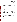specified in this plan, and review data acquisition and handling procedures. The Battelle ETV Quality Manager will prepare a TSA report, the findings of which must be addressed either by modifications of test procedures or by documentation in the test records and report.

At EPA's discretion, EPA QA staff may also conduct an independent on-site TSA during the verification test. The TSA findings will be communicated to testing staff at the time of the audit, and documented in a TSA report.

#### **7.3.2 Performance Evaluation Audit**

A performance evaluation (PE) audit will be conducted to assess the quality of the measurements made in this verification test. This audit addresses only those measurements that factor into the data used for verification, i.e., the sample flow rate, and the analytical laboratory measurements. This audit will be performed once during the verification test, and must be performed by analyzing a standard or comparing to a reference that is independent of standards used during the testing.

The flow rate of the reference method sampling assemblies will be audited once during each phase of testing using a dry gas meter (or other flow meter) that is independent of the meter used to calibrate the flow rate. Agreement between the audit flow rate and the nominal flow rate should be within  $\pm 5\%$  (i.e., 9.5 lpm - 10.5 lpm). If agreement between the audit flow rate and the nominal flow rate is not within  $\pm 5\%$ , then the flow rate of the sampler will be recalibrated.

The performance of the FIA used to analyze the reference samples will be audited by analyzing an ammonium standard that is independent of those used for the calibration. This sample will be provided as a blind audit sample and the operator of the FIA will not be aware of the concentration of the sample. If agreement between the measured concentration and the standard concentration is not within  $\pm 10\%$ , the cause of the discrepancy will be investigated and rectified if possible. This audit will be performed at least once during each phase of the verification test.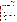#### **7.3.3 Data Quality Audit**

Battelle's Quality Manager will audit at least 10 percent of the verification data acquired in the verification test. The Quality Manager will trace the data from initial acquisition, through reduction and statistical comparisons, and to final reporting. All calculations performed on the data undergoing audit will be checked.

#### **7.3.4 Assessment Reports**

Each assessment and audit will be documented in accordance with Section 3.3.4 of the QMP for the AMS Center.<sup>(1)</sup> Assessment reports will include the following:

- C Identification of any adverse findings or potential problems
- C Space for response to adverse findings or potential problems
- C Possible recommendations for resolving problems
- C Citation of any noteworthy practices that may be of use to others
- Confirmation that solutions have been implemented and are effective.

#### **7.3.5 Corrective Action**

The Battelle Quality Manager during the course of any assessment or audit will identify to the technical staff performing experimental activities any immediate corrective action that should be taken. If serious quality problems exist, the Battelle Quality Manager is authorized to stop work.

Once the assessment report has been prepared, the Verification Test Coordinator will ensure that a response is provided for each adverse finding or potential problem, and will implement any necessary followup corrective action. The Battelle Quality Manager will ensure that follow-up corrective action has been taken.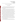#### **8.0 DATA ANALYSIS AND REPORTING**

#### **8.1 Data Acquisition**

Data acquisition in this verification test includes recording of the data from the monitors undergoing testing, documentation of sampling conditions and analytical results from the reference method, meteorological conditions, and recording of testing activities, such as the times of test activities, etc.

Data acquisition for the monitors undergoing verification will be performed by the vendors during the test. Each monitor must have some form of data acquisition device, such as a printout of analyzer response, or an electronic data recorder that stores individual analyzer readings. The vendor will be responsible for reporting the response of the monitor, for each of the phases of the verification test. The data from the monitors are to be retrieved by, or provided to Battelle regularly, and must include all individual readings of the monitor listed by time of day. Averaged results, e.g., ammonia data averaged over the period of a reference method sampling run, may also be provided, if available. If not provided, averaging will be performed by Battelle in data processing. Electronic data files are the preferred means of data transfer, with Excel<sup>®</sup> or comma separated variable file formats preferred. Electronic files requiring vendor's proprietary software will be supplied along with the software required to view the data.

Other data will be recorded in laboratory record books provided by Battelle and maintained by Battelle, vendor, and subcontractor staff involved in the testing. These records will be reviewed by Battelle to identify and resolve any inconsistencies. All written records must be in ink. Any corrections to notebook entries, or changes in recorded data, must be made with a single line through the original entry. The correction is then to be entered, initialed and dated by the person making the correction.

In all cases, strict confidentiality of data from each vendor's monitor, and strict separation of data from different monitors, will be maintained. Separate files (including manual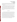records, printouts, and/or electronic data files) will be kept for each monitor. At no time during verification testing will Battelle or USDA staff engage in any comparison in performance of the participating monitors.

Table 8-1 summarizes the types of data to be recorded; where, how often, and by whom the recording is made; and the disposition or subsequent processing of the data. The general approach is to record all test information immediately and in a consistent format throughout all tests. Data recorded by the vendors is to be retrieved by, or turned over to Battelle or USDA staff regularly during each phase of testing. Identical file formats will be used to make quantitative evaluations of the data from all of the monitors tested, to assure uniformity of data treatment. This process of data recording and compiling will be overseen by the Verification Test Coordinator.

#### **8.2 Data Review**

Records generated in the verification test will be reviewed by a Battelle staff member within two weeks after the completion of each phase of testing, before these records are used to calculate, evaluate, or report verification results. These records may include laboratory record books; data from the monitors; or reference method analytical results. This review will be performed by a Battelle technical staff member involved in the verification test, but not the staff member that originally generated the record. The test site, USDA staff, and/or vendor representatives will be consulted as needed to clarify any issues about the data records. The review will be documented by the person performing the review by adding his/her initials and date to a hard copy of the record being reviewed. Data relating to the reference samplinge from the first week of each phase will be reviewed by a Battelle staff member within 48 hours of generation to allow for any corrective actions to be implemented promptly.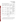| Data to be Recorded                                          | Responsible<br>Party           | <b>Where Recorded</b>                                                                         | <b>How Often</b><br><b>Recorded</b>                                                         | <b>Disposition of</b><br>Data <sup>(a)</sup>                                                                 |
|--------------------------------------------------------------|--------------------------------|-----------------------------------------------------------------------------------------------|---------------------------------------------------------------------------------------------|--------------------------------------------------------------------------------------------------------------|
| Dates, times of test<br>events (site activities,<br>$etc.$ ) | USDA/<br>Battelle staff        | Laboratory record<br>books/field data sheet                                                   | Start/end of test,<br>and at each test<br>activity.                                         | Used to<br>organize/check test<br>results; manually<br>incorporated in data<br>spreadsheets as<br>necessary. |
| Reference method<br>sampling data                            | USDA/<br>Battelle staff        | Laboratory record<br>books, CoC forms, or<br>file data sheets as<br>appropriate               | At least at start/end<br>of reference sample,<br>and at each change<br>of a test parameter. | Used to<br>organize/check test<br>results; manually<br>incorporated in data<br>spreadsheets as<br>necessary. |
| Meteorological<br>conditions                                 | <b>Battelle</b>                | Meteorological<br>station datalogger                                                          | Continuously                                                                                | Used to assess<br>meteorological<br>conditions during<br>testing as necessary.                               |
| Ammonia monitor<br>readings                                  | Vendor or<br>designee          | Data acquisition<br>system (data logger,<br>PC, laptop, etc.).                                | Continuously at<br>specified<br>acquisition rate<br>throughout monitor<br>operation.        | Electronically<br>transferred to<br>spreadsheets                                                             |
| Reference sample<br>analysis, and results                    | USDA/<br><b>Battelle</b> staff | Laboratory record<br>books, data sheets, or<br>data acquisition<br>system, as<br>appropriate. | Throughout sample<br>handling and<br>analysis process                                       | Transferred to<br>spreadsheets                                                                               |

#### **Table 8-1. Summary of Data Recording Process**

(a) All activities subsequent to data recording are carried out by Battelle.

#### **8.3 Reporting**

The statistical data comparisons described in Section 5.0 will be conducted separately for each commercial ammonia monitor tested. Separate verification reports will then be prepared, each addressing the monitor provided by one commercial vendor. The verification report will present the test data, as well as the results of the statistical evaluation of those data.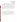The verification report will briefly describe the ETV program and the AMS Center, and will describe the procedures used in verification testing. These sections will be common to each verification report resulting from this verification test. The results of the verification test will then be stated quantitatively, without comparison to any other monitor tested, or comment on the acceptability of the monitor's performance. The preparation of draft verification reports, the review of reports by vendors and others, the revision of the reports, final approval, and the distribution of the reports, will be conducted as stated in the Generic Verification Protocol for the Advanced Monitoring Systems Pilot.<sup>(6)</sup> Preparation, approval, and use of Verification Statements summarizing the results of this test will also be subject to the requirements of that same Protocol.

#### **9.0 HEALTH AND SAFETY**

The first phase of the verification test described in this test/QA plan will be performed in Ames, Iowa, and the second phase of the verification test will be performed in Bushland, Texas. All visiting staff at the AFO test site may be given a site-specific safety briefing by a representative of the test site .prior to the installation and operation of the monitors. All participants in this verification test (i.e., Battelle, USDA, EPA, and vendor staff) will adhere to the health and safety requirements of the test site. All equipment brought onto the test site will conform to the biosecurity protocol of the test site.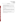#### **10.0 REFERENCES**

- 1. Quality Management Plan (QMP) for the ETV Advanced Monitoring Systems Center, U.S. EPA Environmental Technology Verification Program, prepared by Battelle, Columbus, Ohio, Version 4.0 December 2002.
- 2. National Air Pollutant Trends, 1900-1998. EPA-454/R-00-02, U.S. Environmental Protection Agency, Office of Air Quality Planning and Standards, Research Triangle Park, NC, 27711.
- 3. Environmental Technology Verification Program Quality Management Plan, EPA/600/R-03/021, December 2002.
- 4. Determination of the Strong Acidity of Atmospheric Fine Particles (<2.5 µm) Using Annular Denuder Technology, EPA/600/R-93/037, U.S. Environmental Protection Agency, Office of Research and Development, Research Triangle Park, North Carolina, 27711.
- 5. Operating Manual ChemComb Model 3500 Speciation Sampling Cartridge, Revision A, Rupprecht & Patashnick, Co., Inc., Albany, NY, January 2000.
- 6. Generic Verification Protocol for the Advanced Monitoring Systems Pilot, Battelle, Columbus, Ohio, November 1998.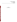*Test/QA Plan for the Verification of Ambient Ammonia Monitors Version: 1.0 Date: September 2, 2003 Page 47 of 50* 

**Appendix A Example Field Data Sheet**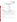## **ETV Verification of Ambient Ammonia Monitors Reference Method Field Data Sheet**

| Site:<br><u> 1989 - Johann Barnett, fransk politiker (</u><br><b>Sample ID:</b><br><u> 1989 - Johann Stein, fransk politiker (</u>                                                                      |  |  | <b>GENERAL</b><br>Date:<br><b>Operator:</b>                                                                                                                                                                                 |                                |                 |  |
|---------------------------------------------------------------------------------------------------------------------------------------------------------------------------------------------------------|--|--|-----------------------------------------------------------------------------------------------------------------------------------------------------------------------------------------------------------------------------|--------------------------------|-----------------|--|
|                                                                                                                                                                                                         |  |  | <b>EQUIPMENT</b>                                                                                                                                                                                                            |                                |                 |  |
| <b>MFC No.:</b><br><u> 1989 - Johann Barnett, fransk politiker (</u><br>Flow Rate Set Point:                                                                                                            |  |  | <b>Filter ID:</b><br><u> 1989 - Andrea Andrew Maria (h. 1989).</u>                                                                                                                                                          |                                |                 |  |
|                                                                                                                                                                                                         |  |  | <b>SAMPLING DATA</b>                                                                                                                                                                                                        |                                |                 |  |
| <b>Set Up Operator:</b><br><b>Start Time:</b><br><u> 1989 - Johann John Stone, mars eta bainar eta industrial eta industrial eta industrial eta industrial eta in</u><br>Leak Check Before: ___________ |  |  | <b>Stop Time:</b><br><u> 1989 - Johann Stoff, fransk politik (d. 19</u><br><b>Leak Check After:</b><br><u> 1980 - Jan Barbara Barbara, prima popular popular popular popular popular popular popular popular popular po</u> |                                |                 |  |
| <b>Time</b><br><b>Flow Rate</b><br><b>Ambient</b><br>Temp. $(C)$<br>(lpm)                                                                                                                               |  |  | <b>Barometric</b><br><b>Pressure</b><br>(mm Hg)                                                                                                                                                                             | Rel.<br><b>Humidity</b><br>(%) | <b>Comments</b> |  |
|                                                                                                                                                                                                         |  |  |                                                                                                                                                                                                                             |                                |                 |  |
|                                                                                                                                                                                                         |  |  |                                                                                                                                                                                                                             |                                |                 |  |

 $\_$  , and the contribution of the contribution of the contribution of the contribution of  $\mathcal{L}_\text{max}$  $\mathcal{L}_\mathcal{L} = \{ \mathcal{L}_\mathcal{L} = \{ \mathcal{L}_\mathcal{L} = \{ \mathcal{L}_\mathcal{L} = \{ \mathcal{L}_\mathcal{L} = \{ \mathcal{L}_\mathcal{L} = \{ \mathcal{L}_\mathcal{L} = \{ \mathcal{L}_\mathcal{L} = \{ \mathcal{L}_\mathcal{L} = \{ \mathcal{L}_\mathcal{L} = \{ \mathcal{L}_\mathcal{L} = \{ \mathcal{L}_\mathcal{L} = \{ \mathcal{L}_\mathcal{L} = \{ \mathcal{L}_\mathcal{L} = \{ \mathcal{L}_\mathcal{$  $\_$  , and the contribution of the contribution of the contribution of the contribution of  $\mathcal{L}_\text{max}$  $\_$  , and the contribution of the contribution of the contribution of the contribution of  $\mathcal{L}_\text{max}$  $\_$  , and the contribution of the contribution of the contribution of the contribution of  $\mathcal{L}_\text{max}$ 

**Operator Comments:**